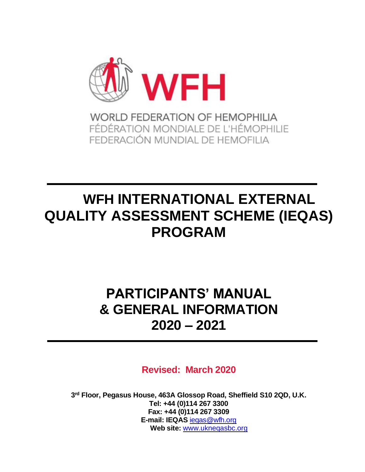

# **WFH INTERNATIONAL EXTERNAL QUALITY ASSESSMENT SCHEME (IEQAS) PROGRAM**

## **PARTICIPANTS' MANUAL & GENERAL INFORMATION 2020 – 2021**

**Revised: March 2020**

**3 rd Floor, Pegasus House, 463A Glossop Road, Sheffield S10 2QD, U.K. Tel: +44 (0)114 267 3300 Fax: +44 (0)114 267 3309 E-mail: IEQAS** [ieqas@wfh.org](mailto:ieqas@wfh.org) **Web site:** www.ukneqasbc.org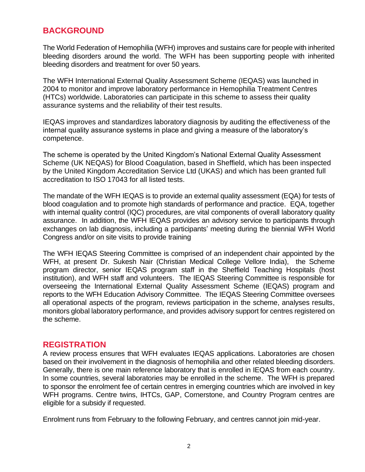## **BACKGROUND**

The World Federation of Hemophilia (WFH) improves and sustains care for people with inherited bleeding disorders around the world. The WFH has been supporting people with inherited bleeding disorders and treatment for over 50 years.

The WFH International External Quality Assessment Scheme (IEQAS) was launched in 2004 to monitor and improve laboratory performance in Hemophilia Treatment Centres (HTCs) worldwide. Laboratories can participate in this scheme to assess their quality assurance systems and the reliability of their test results.

IEQAS improves and standardizes laboratory diagnosis by auditing the effectiveness of the internal quality assurance systems in place and giving a measure of the laboratory's competence.

The scheme is operated by the United Kingdom's National External Quality Assessment Scheme (UK NEQAS) for Blood Coagulation, based in Sheffield, which has been inspected by the United Kingdom Accreditation Service Ltd (UKAS) and which has been granted full accreditation to ISO 17043 for all listed tests.

The mandate of the WFH IEQAS is to provide an external quality assessment (EQA) for tests of blood coagulation and to promote high standards of performance and practice. EQA, together with internal quality control (IQC) procedures, are vital components of overall laboratory quality assurance. In addition, the WFH IEQAS provides an advisory service to participants through exchanges on lab diagnosis, including a participants' meeting during the biennial WFH World Congress and/or on site visits to provide training

The WFH IEQAS Steering Committee is comprised of an independent chair appointed by the WFH, at present Dr. Sukesh Nair (Christian Medical College Vellore India), the Scheme program director, senior IEQAS program staff in the Sheffield Teaching Hospitals (host institution), and WFH staff and volunteers. The IEQAS Steering Committee is responsible for overseeing the International External Quality Assessment Scheme (IEQAS) program and reports to the WFH Education Advisory Committee. The IEQAS Steering Committee oversees all operational aspects of the program, reviews participation in the scheme, analyses results, monitors global laboratory performance, and provides advisory support for centres registered on the scheme.

#### **REGISTRATION**

A review process ensures that WFH evaluates IEQAS applications. Laboratories are chosen based on their involvement in the diagnosis of hemophilia and other related bleeding disorders. Generally, there is one main reference laboratory that is enrolled in IEQAS from each country. In some countries, several laboratories may be enrolled in the scheme. The WFH is prepared to sponsor the enrolment fee of certain centres in emerging countries which are involved in key WFH programs. Centre twins, IHTCs, GAP, Cornerstone, and Country Program centres are eligible for a subsidy if requested.

Enrolment runs from February to the following February, and centres cannot join mid-year.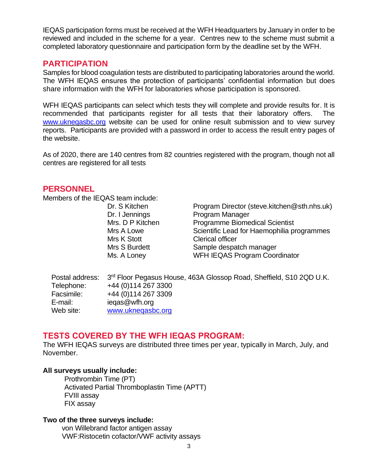IEQAS participation forms must be received at the WFH Headquarters by January in order to be reviewed and included in the scheme for a year. Centres new to the scheme must submit a completed laboratory questionnaire and participation form by the deadline set by the WFH.

#### **PARTICIPATION**

Samples for blood coagulation tests are distributed to participating laboratories around the world. The WFH IEQAS ensures the protection of participants' confidential information but does share information with the WFH for laboratories whose participation is sponsored.

WFH IEQAS participants can select which tests they will complete and provide results for. It is recommended that participants register for all tests that their laboratory offers. The www.uknegasbc.org website can be used for online result submission and to view survey reports. Participants are provided with a password in order to access the result entry pages of the website.

As of 2020, there are 140 centres from 82 countries registered with the program, though not all centres are registered for all tests

#### **PERSONNEL**

Members of the IEQAS team include:

| Dr. S Kitchen<br>Dr. I Jennings<br>Program Manager<br>Mrs. D P Kitchen<br>Mrs A Lowe<br><b>Clerical officer</b><br>Mrs K Stott<br>Mrs S Burdett | Program Director (steve.kitchen@sth.nhs.uk)<br><b>Programme Biomedical Scientist</b><br>Scientific Lead for Haemophilia programmes<br>Sample despatch manager |
|-------------------------------------------------------------------------------------------------------------------------------------------------|---------------------------------------------------------------------------------------------------------------------------------------------------------------|
| Ms. A Loney                                                                                                                                     | <b>WFH IEQAS Program Coordinator</b>                                                                                                                          |

|            | Postal address: 3 <sup>rd</sup> Floor Pegasus House, 463A Glossop Road, Sheffield, S10 2QD U.K. |
|------------|-------------------------------------------------------------------------------------------------|
| Telephone: | +44 (0) 114 267 3300                                                                            |
| Facsimile: | +44 (0) 114 267 3309                                                                            |
| E-mail:    | iegas@wfh.org                                                                                   |
| Web site:  | www.uknegasbc.org                                                                               |

#### **TESTS COVERED BY THE WFH IEQAS PROGRAM:**

The WFH IEQAS surveys are distributed three times per year, typically in March, July, and November.

#### **All surveys usually include:**

Prothrombin Time (PT) Activated Partial Thromboplastin Time (APTT) FVIII assay FIX assay

#### **Two of the three surveys include:**

 von Willebrand factor antigen assay VWF:Ristocetin cofactor/VWF activity assays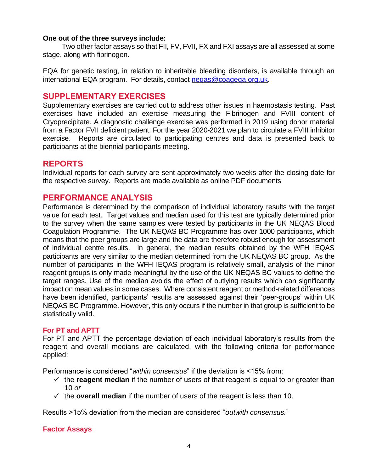#### **One out of the three surveys include:**

Two other factor assays so that FII, FV, FVII, FX and FXI assays are all assessed at some stage, along with fibrinogen.

EQA for genetic testing, in relation to inheritable bleeding disorders, is available through an international EQA program. For details, contact neqas@coageqa.org.uk.

## **SUPPLEMENTARY EXERCISES**

Supplementary exercises are carried out to address other issues in haemostasis testing. Past exercises have included an exercise measuring the Fibrinogen and FVIII content of Cryoprecipitate. A diagnostic challenge exercise was performed in 2019 using donor material from a Factor FVII deficient patient. For the year 2020-2021 we plan to circulate a FVIII inhibitor exercise. Reports are circulated to participating centres and data is presented back to participants at the biennial participants meeting.

## **REPORTS**

Individual reports for each survey are sent approximately two weeks after the closing date for the respective survey. Reports are made available as online PDF documents

#### **PERFORMANCE ANALYSIS**

Performance is determined by the comparison of individual laboratory results with the target value for each test. Target values and median used for this test are typically determined prior to the survey when the same samples were tested by participants in the UK NEQAS Blood Coagulation Programme. The UK NEQAS BC Programme has over 1000 participants, which means that the peer groups are large and the data are therefore robust enough for assessment of individual centre results. In general, the median results obtained by the WFH IEQAS participants are very similar to the median determined from the UK NEQAS BC group. As the number of participants in the WFH IEQAS program is relatively small, analysis of the minor reagent groups is only made meaningful by the use of the UK NEQAS BC values to define the target ranges. Use of the median avoids the effect of outlying results which can significantly impact on mean values in some cases. Where consistent reagent or method-related differences have been identified, participants' results are assessed against their 'peer-groups' within UK NEQAS BC Programme. However, this only occurs if the number in that group is sufficient to be statistically valid.

#### **For PT and APTT**

For PT and APTT the percentage deviation of each individual laboratory's results from the reagent and overall medians are calculated, with the following criteria for performance applied:

Performance is considered "*within consensus*" if the deviation is <15% from:

- $\checkmark$  the **reagent median** if the number of users of that reagent is equal to or greater than 10 *or*
- $\checkmark$  the **overall median** if the number of users of the reagent is less than 10.

Results >15% deviation from the median are considered "*outwith consensus.*"

#### **Factor Assays**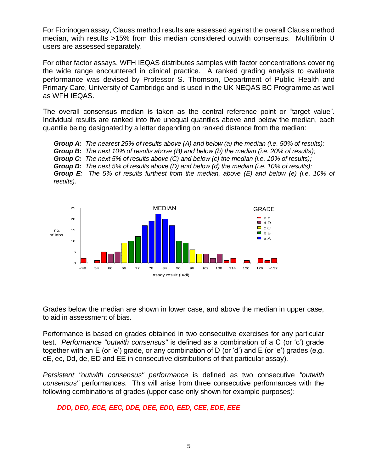For Fibrinogen assay, Clauss method results are assessed against the overall Clauss method median, with results >15% from this median considered outwith consensus. Multifibrin U users are assessed separately.

For other factor assays, WFH IEQAS distributes samples with factor concentrations covering the wide range encountered in clinical practice. A ranked grading analysis to evaluate performance was devised by Professor S. Thomson, Department of Public Health and Primary Care, University of Cambridge and is used in the UK NEQAS BC Programme as well as WFH IEQAS.

The overall consensus median is taken as the central reference point or "target value". Individual results are ranked into five unequal quantiles above and below the median, each quantile being designated by a letter depending on ranked distance from the median:

*Group A: The nearest 25% of results above (A) and below (a) the median (i.e. 50% of results); Group B: The next 10% of results above (B) and below (b) the median (i.e. 20% of results); Group C: The next 5% of results above (C) and below (c) the median (i.e. 10% of results); Group D: The next 5% of results above (D) and below (d) the median (i.e. 10% of results);*

*Group E: The 5% of results furthest from the median, above (E) and below (e) (i.e. 10% of results).*



Grades below the median are shown in lower case, and above the median in upper case, to aid in assessment of bias.

Performance is based on grades obtained in two consecutive exercises for any particular test. *Performance "outwith consensus"* is defined as a combination of a C (or 'c') grade together with an E (or 'e') grade, or any combination of D (or 'd') and E (or 'e') grades (e.g. cE, ec, Dd, de, ED and EE in consecutive distributions of that particular assay).

*Persistent "outwith consensus" performance* is defined as two consecutive *"outwith consensus"* performances. This will arise from three consecutive performances with the following combinations of grades (upper case only shown for example purposes):

 *DDD, DED, ECE, EEC, DDE, DEE, EDD, EED, CEE, EDE, EEE*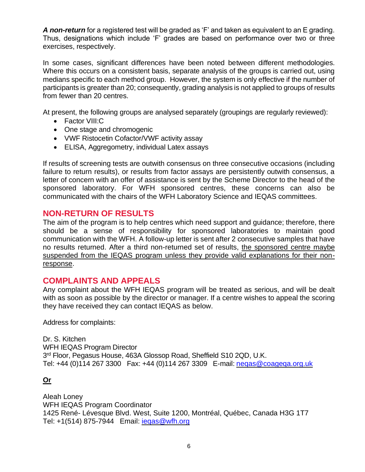*A non-return* for a registered test will be graded as 'F' and taken as equivalent to an E grading. Thus, designations which include 'F' grades are based on performance over two or three exercises, respectively.

In some cases, significant differences have been noted between different methodologies. Where this occurs on a consistent basis, separate analysis of the groups is carried out, using medians specific to each method group. However, the system is only effective if the number of participants is greater than 20; consequently, grading analysis is not applied to groups of results from fewer than 20 centres.

At present, the following groups are analysed separately (groupings are regularly reviewed):

- Factor VIII:C
- One stage and chromogenic
- VWF Ristocetin Cofactor/VWF activity assay
- ELISA, Aggregometry, individual Latex assays

If results of screening tests are outwith consensus on three consecutive occasions (including failure to return results), or results from factor assays are persistently outwith consensus, a letter of concern with an offer of assistance is sent by the Scheme Director to the head of the sponsored laboratory. For WFH sponsored centres, these concerns can also be communicated with the chairs of the WFH Laboratory Science and IEQAS committees.

#### **NON-RETURN OF RESULTS**

The aim of the program is to help centres which need support and guidance; therefore, there should be a sense of responsibility for sponsored laboratories to maintain good communication with the WFH. A follow-up letter is sent after 2 consecutive samples that have no results returned. After a third non-returned set of results, the sponsored centre maybe suspended from the IEQAS program unless they provide valid explanations for their nonresponse.

#### **COMPLAINTS AND APPEALS**

Any complaint about the WFH IEQAS program will be treated as serious, and will be dealt with as soon as possible by the director or manager. If a centre wishes to appeal the scoring they have received they can contact IEQAS as below.

Address for complaints:

Dr. S. Kitchen WFH IEQAS Program Director 3<sup>rd</sup> Floor, Pegasus House, 463A Glossop Road, Sheffield S10 2QD, U.K. Tel: +44 (0)114 267 3300 Fax: +44 (0)114 267 3309 E-mail: neqas@coageqa.org.uk

#### **Or**

Aleah Loney WFH IEQAS Program Coordinator 1425 René- Lévesque Blvd. West, Suite 1200, Montréal, Québec, Canada H3G 1T7 Tel: +1(514) 875-7944 Email: **iegas@wfh.org**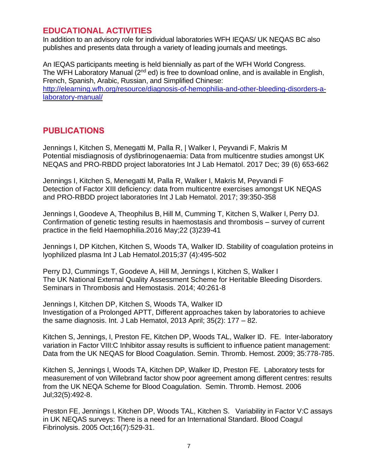## **EDUCATIONAL ACTIVITIES**

In addition to an advisory role for individual laboratories WFH IEQAS/ UK NEQAS BC also publishes and presents data through a variety of leading journals and meetings.

An IEQAS participants meeting is held biennially as part of the WFH World Congress. The WFH Laboratory Manual (2<sup>nd</sup> ed) is free to download online, and is available in English, French, Spanish, Arabic, Russian, and Simplified Chinese: [http://elearning.wfh.org/resource/diagnosis-of-hemophilia-and-other-bleeding-disorders-a](http://elearning.wfh.org/resource/diagnosis-of-hemophilia-and-other-bleeding-disorders-a-laboratory-manual/)[laboratory-manual/](http://elearning.wfh.org/resource/diagnosis-of-hemophilia-and-other-bleeding-disorders-a-laboratory-manual/)

## **PUBLICATIONS**

Jennings I, Kitchen S, Menegatti M, Palla R, | Walker I, Peyvandi F, Makris M Potential misdiagnosis of dysfibrinogenaemia: Data from multicentre studies amongst UK NEQAS and PRO-RBDD project laboratories Int J Lab Hematol. 2017 Dec; 39 (6) 653-662

Jennings I, Kitchen S, Menegatti M, Palla R, Walker I, Makris M, Peyvandi F Detection of Factor XIII deficiency: data from multicentre exercises amongst UK NEQAS and PRO-RBDD project laboratories Int J Lab Hematol. 2017; 39:350-358

Jennings I, Goodeve A, Theophilus B, Hill M, Cumming T, Kitchen S, Walker I, Perry DJ. Confirmation of genetic testing results in haemostasis and thrombosis – survey of current practice in the field Haemophilia.2016 May;22 (3)239-41

Jennings I, DP Kitchen, Kitchen S, Woods TA, Walker ID. Stability of coagulation proteins in lyophilized plasma Int J Lab Hematol.2015;37 (4):495-502

Perry DJ, Cummings T, Goodeve A, Hill M, Jennings I, Kitchen S, Walker I The UK National External Quality Assessment Scheme for Heritable Bleeding Disorders. Seminars in Thrombosis and Hemostasis. 2014; 40:261-8

Jennings I, Kitchen DP, Kitchen S, Woods TA, Walker ID Investigation of a Prolonged APTT, Different approaches taken by laboratories to achieve the same diagnosis. Int. J Lab Hematol, 2013 April; 35(2): 177 – 82.

Kitchen S, Jennings, I, Preston FE, Kitchen DP, Woods TAL, Walker ID. FE. Inter-laboratory variation in Factor VIII:C Inhibitor assay results is sufficient to influence patient management: Data from the UK NEQAS for Blood Coagulation. Semin. Thromb. Hemost. 2009; 35:778-785.

Kitchen S, Jennings I, Woods TA, Kitchen DP, Walker ID, Preston FE. Laboratory tests for measurement of von Willebrand factor show poor agreement among different centres: results from the UK NEQA Scheme for Blood Coagulation. Semin. Thromb. Hemost. 2006 Jul;32(5):492-8.

Preston FE, Jennings I, Kitchen DP, Woods TAL, Kitchen S. Variability in Factor V:C assays in UK NEQAS surveys: There is a need for an International Standard. Blood Coagul Fibrinolysis. 2005 Oct;16(7):529-31.